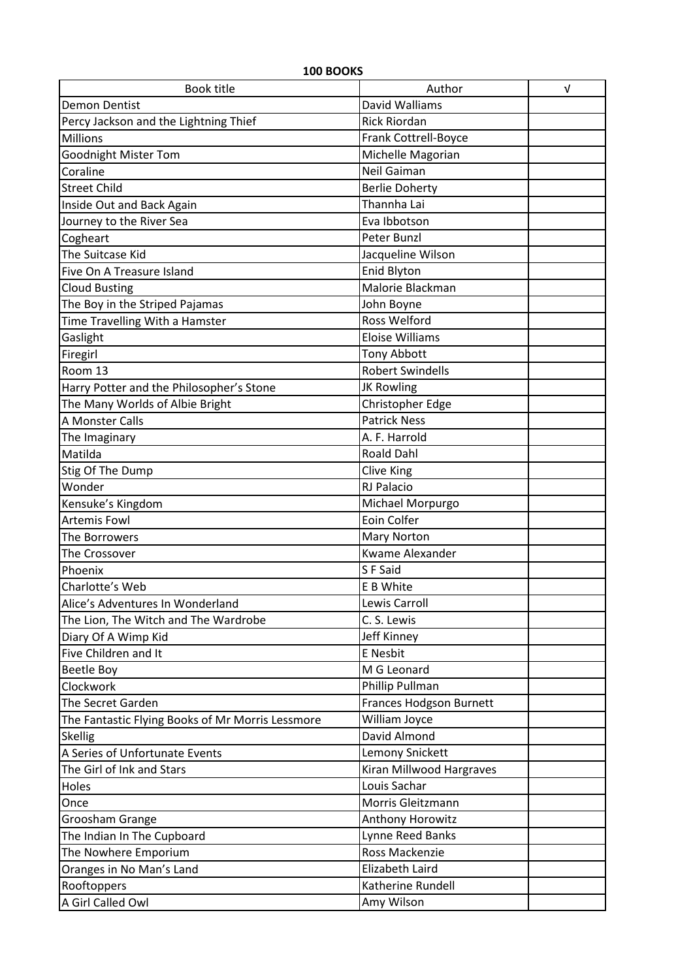| <b>Book title</b><br>Author<br>$\sqrt{ }$<br>David Walliams<br><b>Demon Dentist</b><br><b>Rick Riordan</b><br>Percy Jackson and the Lightning Thief<br>Frank Cottrell-Boyce<br>Millions<br>Michelle Magorian<br><b>Goodnight Mister Tom</b><br><b>Neil Gaiman</b><br>Coraline<br><b>Street Child</b><br><b>Berlie Doherty</b><br>Thannha Lai<br>Inside Out and Back Again<br>Journey to the River Sea<br>Eva Ibbotson<br>Cogheart<br>Peter Bunzl<br>Jacqueline Wilson<br>The Suitcase Kid<br><b>Enid Blyton</b><br>Five On A Treasure Island<br>Malorie Blackman<br><b>Cloud Busting</b><br>The Boy in the Striped Pajamas<br>John Boyne<br>Time Travelling With a Hamster<br><b>Ross Welford</b><br><b>Eloise Williams</b><br>Gaslight<br><b>Tony Abbott</b><br>Firegirl<br>Room 13<br><b>Robert Swindells</b><br>Harry Potter and the Philosopher's Stone<br><b>JK Rowling</b><br>The Many Worlds of Albie Bright<br>Christopher Edge<br>A Monster Calls<br><b>Patrick Ness</b><br>A. F. Harrold<br>The Imaginary<br><b>Roald Dahl</b><br>Matilda<br>Clive King<br>Stig Of The Dump<br>RJ Palacio<br>Wonder<br>Kensuke's Kingdom<br>Michael Morpurgo<br>Eoin Colfer<br><b>Artemis Fowl</b><br><b>Mary Norton</b><br>The Borrowers<br>Kwame Alexander<br>The Crossover<br>S F Said<br>Phoenix<br>Charlotte's Web<br>$E$ B White | 100 BOOKS |  |  |
|----------------------------------------------------------------------------------------------------------------------------------------------------------------------------------------------------------------------------------------------------------------------------------------------------------------------------------------------------------------------------------------------------------------------------------------------------------------------------------------------------------------------------------------------------------------------------------------------------------------------------------------------------------------------------------------------------------------------------------------------------------------------------------------------------------------------------------------------------------------------------------------------------------------------------------------------------------------------------------------------------------------------------------------------------------------------------------------------------------------------------------------------------------------------------------------------------------------------------------------------------------------------------------------------------------------------------------|-----------|--|--|
|                                                                                                                                                                                                                                                                                                                                                                                                                                                                                                                                                                                                                                                                                                                                                                                                                                                                                                                                                                                                                                                                                                                                                                                                                                                                                                                                  |           |  |  |
|                                                                                                                                                                                                                                                                                                                                                                                                                                                                                                                                                                                                                                                                                                                                                                                                                                                                                                                                                                                                                                                                                                                                                                                                                                                                                                                                  |           |  |  |
|                                                                                                                                                                                                                                                                                                                                                                                                                                                                                                                                                                                                                                                                                                                                                                                                                                                                                                                                                                                                                                                                                                                                                                                                                                                                                                                                  |           |  |  |
|                                                                                                                                                                                                                                                                                                                                                                                                                                                                                                                                                                                                                                                                                                                                                                                                                                                                                                                                                                                                                                                                                                                                                                                                                                                                                                                                  |           |  |  |
|                                                                                                                                                                                                                                                                                                                                                                                                                                                                                                                                                                                                                                                                                                                                                                                                                                                                                                                                                                                                                                                                                                                                                                                                                                                                                                                                  |           |  |  |
|                                                                                                                                                                                                                                                                                                                                                                                                                                                                                                                                                                                                                                                                                                                                                                                                                                                                                                                                                                                                                                                                                                                                                                                                                                                                                                                                  |           |  |  |
|                                                                                                                                                                                                                                                                                                                                                                                                                                                                                                                                                                                                                                                                                                                                                                                                                                                                                                                                                                                                                                                                                                                                                                                                                                                                                                                                  |           |  |  |
|                                                                                                                                                                                                                                                                                                                                                                                                                                                                                                                                                                                                                                                                                                                                                                                                                                                                                                                                                                                                                                                                                                                                                                                                                                                                                                                                  |           |  |  |
|                                                                                                                                                                                                                                                                                                                                                                                                                                                                                                                                                                                                                                                                                                                                                                                                                                                                                                                                                                                                                                                                                                                                                                                                                                                                                                                                  |           |  |  |
|                                                                                                                                                                                                                                                                                                                                                                                                                                                                                                                                                                                                                                                                                                                                                                                                                                                                                                                                                                                                                                                                                                                                                                                                                                                                                                                                  |           |  |  |
|                                                                                                                                                                                                                                                                                                                                                                                                                                                                                                                                                                                                                                                                                                                                                                                                                                                                                                                                                                                                                                                                                                                                                                                                                                                                                                                                  |           |  |  |
|                                                                                                                                                                                                                                                                                                                                                                                                                                                                                                                                                                                                                                                                                                                                                                                                                                                                                                                                                                                                                                                                                                                                                                                                                                                                                                                                  |           |  |  |
|                                                                                                                                                                                                                                                                                                                                                                                                                                                                                                                                                                                                                                                                                                                                                                                                                                                                                                                                                                                                                                                                                                                                                                                                                                                                                                                                  |           |  |  |
|                                                                                                                                                                                                                                                                                                                                                                                                                                                                                                                                                                                                                                                                                                                                                                                                                                                                                                                                                                                                                                                                                                                                                                                                                                                                                                                                  |           |  |  |
|                                                                                                                                                                                                                                                                                                                                                                                                                                                                                                                                                                                                                                                                                                                                                                                                                                                                                                                                                                                                                                                                                                                                                                                                                                                                                                                                  |           |  |  |
|                                                                                                                                                                                                                                                                                                                                                                                                                                                                                                                                                                                                                                                                                                                                                                                                                                                                                                                                                                                                                                                                                                                                                                                                                                                                                                                                  |           |  |  |
|                                                                                                                                                                                                                                                                                                                                                                                                                                                                                                                                                                                                                                                                                                                                                                                                                                                                                                                                                                                                                                                                                                                                                                                                                                                                                                                                  |           |  |  |
|                                                                                                                                                                                                                                                                                                                                                                                                                                                                                                                                                                                                                                                                                                                                                                                                                                                                                                                                                                                                                                                                                                                                                                                                                                                                                                                                  |           |  |  |
|                                                                                                                                                                                                                                                                                                                                                                                                                                                                                                                                                                                                                                                                                                                                                                                                                                                                                                                                                                                                                                                                                                                                                                                                                                                                                                                                  |           |  |  |
|                                                                                                                                                                                                                                                                                                                                                                                                                                                                                                                                                                                                                                                                                                                                                                                                                                                                                                                                                                                                                                                                                                                                                                                                                                                                                                                                  |           |  |  |
|                                                                                                                                                                                                                                                                                                                                                                                                                                                                                                                                                                                                                                                                                                                                                                                                                                                                                                                                                                                                                                                                                                                                                                                                                                                                                                                                  |           |  |  |
|                                                                                                                                                                                                                                                                                                                                                                                                                                                                                                                                                                                                                                                                                                                                                                                                                                                                                                                                                                                                                                                                                                                                                                                                                                                                                                                                  |           |  |  |
|                                                                                                                                                                                                                                                                                                                                                                                                                                                                                                                                                                                                                                                                                                                                                                                                                                                                                                                                                                                                                                                                                                                                                                                                                                                                                                                                  |           |  |  |
|                                                                                                                                                                                                                                                                                                                                                                                                                                                                                                                                                                                                                                                                                                                                                                                                                                                                                                                                                                                                                                                                                                                                                                                                                                                                                                                                  |           |  |  |
|                                                                                                                                                                                                                                                                                                                                                                                                                                                                                                                                                                                                                                                                                                                                                                                                                                                                                                                                                                                                                                                                                                                                                                                                                                                                                                                                  |           |  |  |
|                                                                                                                                                                                                                                                                                                                                                                                                                                                                                                                                                                                                                                                                                                                                                                                                                                                                                                                                                                                                                                                                                                                                                                                                                                                                                                                                  |           |  |  |
|                                                                                                                                                                                                                                                                                                                                                                                                                                                                                                                                                                                                                                                                                                                                                                                                                                                                                                                                                                                                                                                                                                                                                                                                                                                                                                                                  |           |  |  |
|                                                                                                                                                                                                                                                                                                                                                                                                                                                                                                                                                                                                                                                                                                                                                                                                                                                                                                                                                                                                                                                                                                                                                                                                                                                                                                                                  |           |  |  |
|                                                                                                                                                                                                                                                                                                                                                                                                                                                                                                                                                                                                                                                                                                                                                                                                                                                                                                                                                                                                                                                                                                                                                                                                                                                                                                                                  |           |  |  |
|                                                                                                                                                                                                                                                                                                                                                                                                                                                                                                                                                                                                                                                                                                                                                                                                                                                                                                                                                                                                                                                                                                                                                                                                                                                                                                                                  |           |  |  |
|                                                                                                                                                                                                                                                                                                                                                                                                                                                                                                                                                                                                                                                                                                                                                                                                                                                                                                                                                                                                                                                                                                                                                                                                                                                                                                                                  |           |  |  |
| Lewis Carroll<br>Alice's Adventures In Wonderland                                                                                                                                                                                                                                                                                                                                                                                                                                                                                                                                                                                                                                                                                                                                                                                                                                                                                                                                                                                                                                                                                                                                                                                                                                                                                |           |  |  |
| C. S. Lewis<br>The Lion, The Witch and The Wardrobe                                                                                                                                                                                                                                                                                                                                                                                                                                                                                                                                                                                                                                                                                                                                                                                                                                                                                                                                                                                                                                                                                                                                                                                                                                                                              |           |  |  |
| <b>Jeff Kinney</b><br>Diary Of A Wimp Kid                                                                                                                                                                                                                                                                                                                                                                                                                                                                                                                                                                                                                                                                                                                                                                                                                                                                                                                                                                                                                                                                                                                                                                                                                                                                                        |           |  |  |
| Five Children and It<br>E Nesbit                                                                                                                                                                                                                                                                                                                                                                                                                                                                                                                                                                                                                                                                                                                                                                                                                                                                                                                                                                                                                                                                                                                                                                                                                                                                                                 |           |  |  |
| M G Leonard<br><b>Beetle Boy</b>                                                                                                                                                                                                                                                                                                                                                                                                                                                                                                                                                                                                                                                                                                                                                                                                                                                                                                                                                                                                                                                                                                                                                                                                                                                                                                 |           |  |  |
| Clockwork<br>Phillip Pullman                                                                                                                                                                                                                                                                                                                                                                                                                                                                                                                                                                                                                                                                                                                                                                                                                                                                                                                                                                                                                                                                                                                                                                                                                                                                                                     |           |  |  |
| <b>Frances Hodgson Burnett</b><br>The Secret Garden                                                                                                                                                                                                                                                                                                                                                                                                                                                                                                                                                                                                                                                                                                                                                                                                                                                                                                                                                                                                                                                                                                                                                                                                                                                                              |           |  |  |
| William Joyce<br>The Fantastic Flying Books of Mr Morris Lessmore                                                                                                                                                                                                                                                                                                                                                                                                                                                                                                                                                                                                                                                                                                                                                                                                                                                                                                                                                                                                                                                                                                                                                                                                                                                                |           |  |  |
| David Almond<br><b>Skellig</b>                                                                                                                                                                                                                                                                                                                                                                                                                                                                                                                                                                                                                                                                                                                                                                                                                                                                                                                                                                                                                                                                                                                                                                                                                                                                                                   |           |  |  |
| A Series of Unfortunate Events<br>Lemony Snickett                                                                                                                                                                                                                                                                                                                                                                                                                                                                                                                                                                                                                                                                                                                                                                                                                                                                                                                                                                                                                                                                                                                                                                                                                                                                                |           |  |  |
| The Girl of Ink and Stars<br>Kiran Millwood Hargraves                                                                                                                                                                                                                                                                                                                                                                                                                                                                                                                                                                                                                                                                                                                                                                                                                                                                                                                                                                                                                                                                                                                                                                                                                                                                            |           |  |  |
| Louis Sachar<br>Holes                                                                                                                                                                                                                                                                                                                                                                                                                                                                                                                                                                                                                                                                                                                                                                                                                                                                                                                                                                                                                                                                                                                                                                                                                                                                                                            |           |  |  |
| Morris Gleitzmann<br>Once                                                                                                                                                                                                                                                                                                                                                                                                                                                                                                                                                                                                                                                                                                                                                                                                                                                                                                                                                                                                                                                                                                                                                                                                                                                                                                        |           |  |  |
| Anthony Horowitz<br>Groosham Grange                                                                                                                                                                                                                                                                                                                                                                                                                                                                                                                                                                                                                                                                                                                                                                                                                                                                                                                                                                                                                                                                                                                                                                                                                                                                                              |           |  |  |
| Lynne Reed Banks<br>The Indian In The Cupboard                                                                                                                                                                                                                                                                                                                                                                                                                                                                                                                                                                                                                                                                                                                                                                                                                                                                                                                                                                                                                                                                                                                                                                                                                                                                                   |           |  |  |
| Ross Mackenzie<br>The Nowhere Emporium                                                                                                                                                                                                                                                                                                                                                                                                                                                                                                                                                                                                                                                                                                                                                                                                                                                                                                                                                                                                                                                                                                                                                                                                                                                                                           |           |  |  |
| Elizabeth Laird<br>Oranges in No Man's Land                                                                                                                                                                                                                                                                                                                                                                                                                                                                                                                                                                                                                                                                                                                                                                                                                                                                                                                                                                                                                                                                                                                                                                                                                                                                                      |           |  |  |
| Rooftoppers<br>Katherine Rundell                                                                                                                                                                                                                                                                                                                                                                                                                                                                                                                                                                                                                                                                                                                                                                                                                                                                                                                                                                                                                                                                                                                                                                                                                                                                                                 |           |  |  |
| A Girl Called Owl<br>Amy Wilson                                                                                                                                                                                                                                                                                                                                                                                                                                                                                                                                                                                                                                                                                                                                                                                                                                                                                                                                                                                                                                                                                                                                                                                                                                                                                                  |           |  |  |